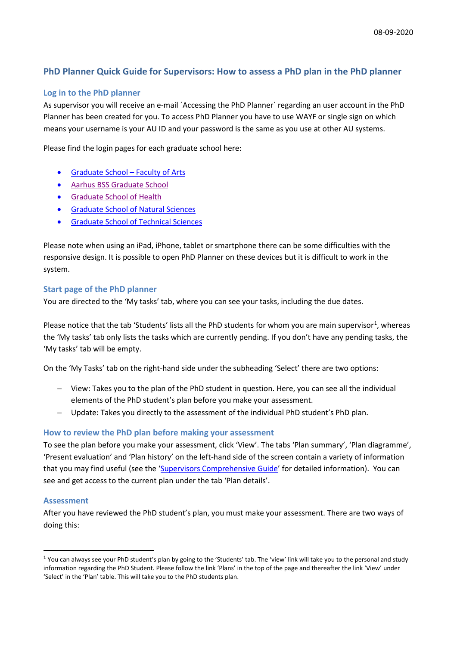# **PhD Planner Quick Guide for Supervisors: How to assess a PhD plan in the PhD planner**

## **Log in to the PhD planner**

As supervisor you will receive an e-mail ´Accessing the PhD Planner´ regarding an user account in the PhD Planner has been created for you. To access PhD Planner you have to use WAYF or single sign on which means your username is your AU ID and your password is the same as you use at other AU systems.

Please find the login pages for each graduate school here:

- [Graduate School –](https://psys.au.dk/aphd/managers-login/) Faculty of Arts
- [Aarhus BSS Graduate School](https://psys.au.dk/bphd/students-login/)
- [Graduate School of Health](https://psys.au.dk/hphd/students-login/)
- [Graduate School of Natural Sciences](https://psys.au.dk/nphd/managers-login/)
- [Graduate School of Technical Sciences](https://psys.au.dk/tphd/managers-login/)

Please note when using an iPad, iPhone, tablet or smartphone there can be some difficulties with the responsive design. It is possible to open PhD Planner on these devices but it is difficult to work in the system.

## **Start page of the PhD planner**

You are directed to the 'My tasks' tab, where you can see your tasks, including the due dates.

Please notice that the tab 'Students' lists all the PhD students for whom you are main supervisor<sup>[1](#page-0-0)</sup>, whereas the 'My tasks' tab only lists the tasks which are currently pending. If you don't have any pending tasks, the 'My tasks' tab will be empty.

On the 'My Tasks' tab on the right-hand side under the subheading 'Select' there are two options:

- − View: Takes you to the plan of the PhD student in question. Here, you can see all the individual elements of the PhD student's plan before you make your assessment.
- − Update: Takes you directly to the assessment of the individual PhD student's PhD plan.

## **How to review the PhD plan before making your assessment**

To see the plan before you make your assessment, click 'View'. The tabs 'Plan summary', 'Plan diagramme', 'Present evaluation' and 'Plan history' on the left-hand side of the screen contain a variety of information that you may find useful (see the ['Supervisors Comprehensive Guide'](https://medarbejdere.au.dk/fileadmin/ingen_mappe_valgt/PhD_Planner_for_Supervisors_23-06-2020.pdf) for detailed information). You can see and get access to the current plan under the tab 'Plan details'.

#### **Assessment**

After you have reviewed the PhD student's plan, you must make your assessment. There are two ways of doing this:

<span id="page-0-0"></span><sup>&</sup>lt;sup>1</sup> You can always see your PhD student's plan by going to the 'Students' tab. The 'view' link will take you to the personal and study information regarding the PhD Student. Please follow the link 'Plans' in the top of the page and thereafter the link 'View' under 'Select' in the 'Plan' table. This will take you to the PhD students plan.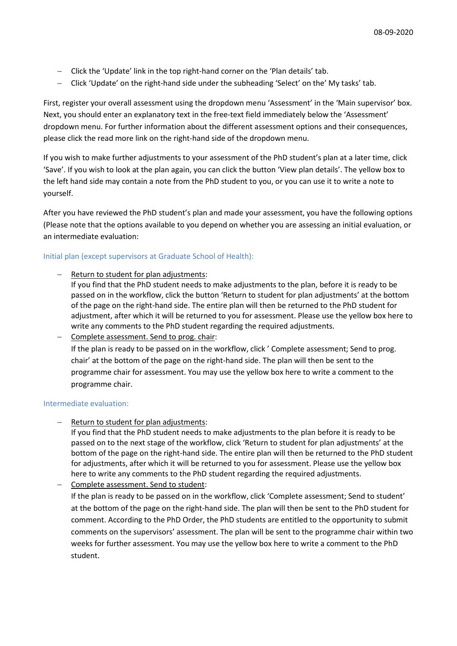- − Click the 'Update' link in the top right-hand corner on the 'Plan details' tab.
- − Click 'Update' on the right-hand side under the subheading 'Select' on the' My tasks' tab.

First, register your overall assessment using the dropdown menu 'Assessment' in the 'Main supervisor' box. Next, you should enter an explanatory text in the free-text field immediately below the 'Assessment' dropdown menu. For further information about the different assessment options and their consequences, please click the read more link on the right-hand side of the dropdown menu.

If you wish to make further adjustments to your assessment of the PhD student's plan at a later time, click 'Save'. If you wish to look at the plan again, you can click the button 'View plan details'. The yellow box to the left hand side may contain a note from the PhD student to you, or you can use it to write a note to yourself.

After you have reviewed the PhD student's plan and made your assessment, you have the following options (Please note that the options available to you depend on whether you are assessing an initial evaluation, or an intermediate evaluation:

### Initial plan (except supervisors at Graduate School of Health):

- Return to student for plan adjustments:
	- If you find that the PhD student needs to make adjustments to the plan, before it is ready to be passed on in the workflow, click the button 'Return to student for plan adjustments' at the bottom of the page on the right-hand side. The entire plan will then be returned to the PhD student for adjustment, after which it will be returned to you for assessment. Please use the yellow box here to write any comments to the PhD student regarding the required adjustments.

− Complete assessment. Send to prog. chair: If the plan is ready to be passed on in the workflow, click ' Complete assessment; Send to prog. chair' at the bottom of the page on the right-hand side. The plan will then be sent to the programme chair for assessment. You may use the yellow box here to write a comment to the programme chair.

#### Intermediate evaluation:

Return to student for plan adjustments:

If you find that the PhD student needs to make adjustments to the plan before it is ready to be passed on to the next stage of the workflow, click 'Return to student for plan adjustments' at the bottom of the page on the right-hand side. The entire plan will then be returned to the PhD student for adjustments, after which it will be returned to you for assessment. Please use the yellow box here to write any comments to the PhD student regarding the required adjustments.

− Complete assessment. Send to student:

If the plan is ready to be passed on in the workflow, click 'Complete assessment; Send to student' at the bottom of the page on the right-hand side. The plan will then be sent to the PhD student for comment. According to the PhD Order, the PhD students are entitled to the opportunity to submit comments on the supervisors' assessment. The plan will be sent to the programme chair within two weeks for further assessment. You may use the yellow box here to write a comment to the PhD student.